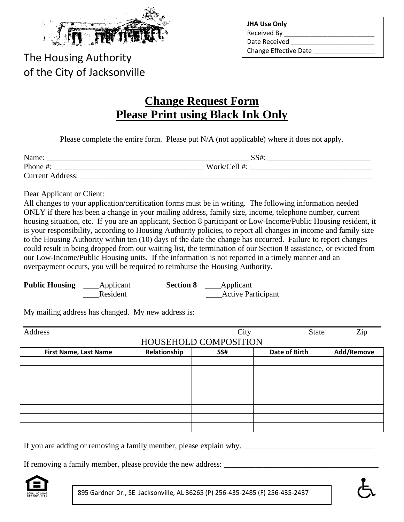

The Housing Authority of the City of Jacksonville

| <b>JHA Use Only</b>          |
|------------------------------|
| <b>Received By</b>           |
| Date Received                |
| <b>Change Effective Date</b> |

# **Change Request Form Please Print using Black Ink Only**

Please complete the entire form. Please put N/A (not applicable) where it does not apply.

| Name:                   | SS#:         |  |
|-------------------------|--------------|--|
| Phone #:                | Work/Cell #: |  |
| <b>Current Address:</b> |              |  |

Dear Applicant or Client:

All changes to your application/certification forms must be in writing. The following information needed ONLY if there has been a change in your mailing address, family size, income, telephone number, current housing situation, etc. If you are an applicant, Section 8 participant or Low-Income/Public Housing resident, it is your responsibility, according to Housing Authority policies, to report all changes in income and family size to the Housing Authority within ten (10) days of the date the change has occurred. Failure to report changes could result in being dropped from our waiting list, the termination of our Section 8 assistance, or evicted from our Low-Income/Public Housing units. If the information is not reported in a timely manner and an overpayment occurs, you will be required to reimburse the Housing Authority.

| <b>Public Housing</b> | _____Applicant | <b>Section 8</b> | Applicant                 |
|-----------------------|----------------|------------------|---------------------------|
|                       | Resident       |                  | <b>Active Participant</b> |

My mailing address has changed. My new address is:

| Address                      |              | City                  | <b>State</b>         | Zip        |
|------------------------------|--------------|-----------------------|----------------------|------------|
|                              |              | HOUSEHOLD COMPOSITION |                      |            |
| <b>First Name, Last Name</b> | Relationship | SS#                   | <b>Date of Birth</b> | Add/Remove |
|                              |              |                       |                      |            |
|                              |              |                       |                      |            |
|                              |              |                       |                      |            |
|                              |              |                       |                      |            |
|                              |              |                       |                      |            |
|                              |              |                       |                      |            |
|                              |              |                       |                      |            |
|                              |              |                       |                      |            |

If you are adding or removing a family member, please explain why.

If removing a family member, please provide the new address:



895 Gardner Dr., SE Jacksonville, AL 36265 (P) 256-435-2485 (F) 256-435-2437